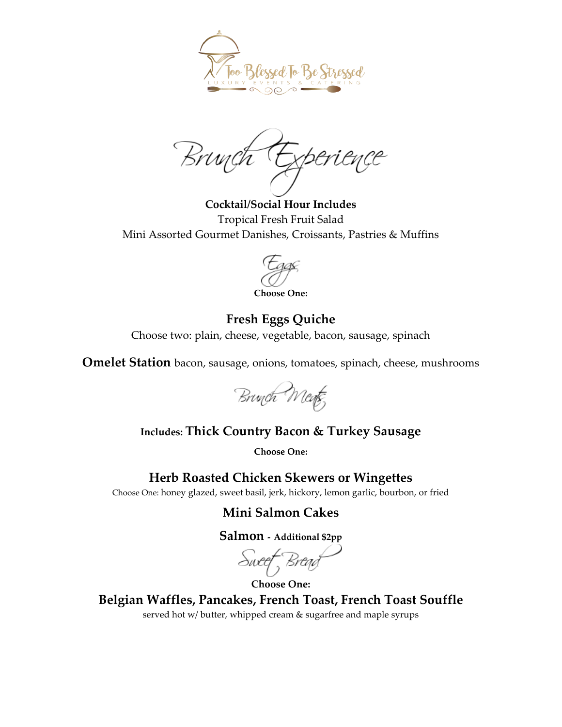

Brwych

**Cocktail/Social Hour Includes** Tropical Fresh Fruit Salad Mini Assorted Gourmet Danishes, Croissants, Pastries & Muffins

**Choose One:**

# **Fresh Eggs Quiche**

Choose two: plain, cheese, vegetable, bacon, sausage, spinach

**Omelet Station** bacon, sausage, onions, tomatoes, spinach, cheese, mushrooms



## **Includes: Thick Country Bacon & Turkey Sausage**

**Choose One:** 

**Herb Roasted Chicken Skewers or Wingettes**

Choose One: honey glazed, sweet basil, jerk, hickory, lemon garlic, bourbon, or fried

## **Mini Salmon Cakes**

**Salmon - Additional \$2pp**

Sweef Bread

**Choose One: Belgian Waffles, Pancakes, French Toast, French Toast Souffle** served hot w/ butter, whipped cream & sugarfree and maple syrups